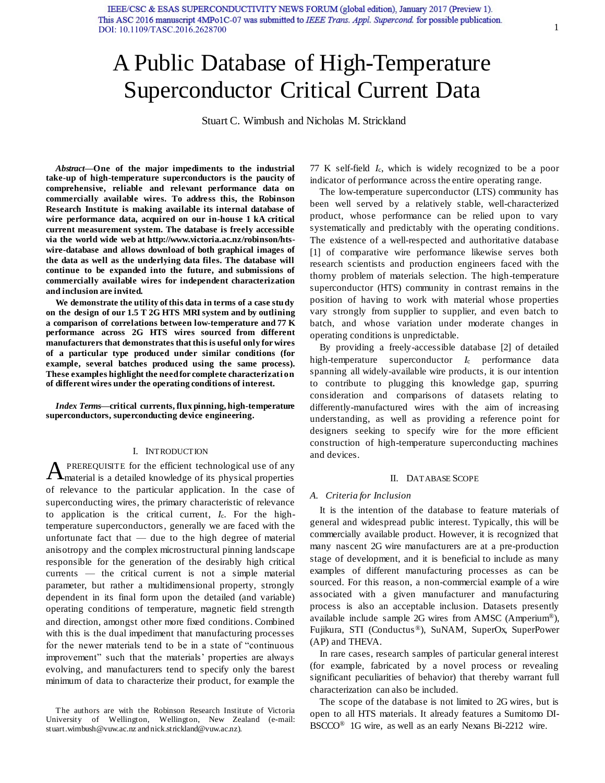IEEE/CSC & ESAS SUPERCONDUCTIVITY NEWS FORUM (global edition), January 2017 (Preview 1). This ASC 2016 manuscript 4MPo1C-07 was submitted to IEEE Trans. Appl. Supercond. for possible publication. [DOI: 10.1109/TASC.2016.2628700](http://ieeexplore.ieee.org/document/7744508/)

# A Public Database of High-Temperature Superconductor Critical Current Data

Stuart C. Wimbush and Nicholas M. Strickland

*Abstract***—One of the major impediments to the industrial take-up of high-temperature superconductors is the paucity of comprehensive, reliable and relevant performance data on commercially available wires. To address this, the Robinson Research Institute is making available its internal database of wire performance data, acquired on our in-house 1 kA critical current measurement system. The database is freely accessible via the world wide web at http://www.victoria.ac.nz/robinson/htswire-database and allows download of both graphical images of the data as well as the underlying data files. The database will continue to be expanded into the future, and submissions of commercially available wires for independent characterization and inclusion are invited.**

**We demonstrate the utility of this data in terms of a case study on the design of our 1.5 T 2G HTS MRI system and by outlining a comparison of correlations between low-temperature and 77 K performance across 2G HTS wires sourced from different manufacturers that demonstrates that thisis useful only for wires of a particular type produced under similar conditions (for example, several batches produced using the same process). These examples highlight the need for complete characterizati on of different wires under the operating conditions of interest.**

*Index Terms***—critical currents, flux pinning, high-temperature superconductors, superconducting device engineering.**

#### I. INTRODUCTION

PREREQUISITE for the efficient technological use of any  $A$ <sup>PREREQUISITE</sup> for the efficient technological use of any material is a detailed knowledge of its physical properties of relevance to the particular application. In the case of superconducting wires, the primary characteristic of relevance to application is the critical current, *I*c. For the hightemperature superconductors, generally we are faced with the unfortunate fact that — due to the high degree of material anisotropy and the complex microstructural pinning landscape responsible for the generation of the desirably high critical currents — the critical current is not a simple material parameter, but rather a multidimensional property, strongly dependent in its final form upon the detailed (and variable) operating conditions of temperature, magnetic field strength and direction, amongst other more fixed conditions. Combined with this is the dual impediment that manufacturing processes for the newer materials tend to be in a state of "continuous improvement" such that the materials' properties are always evolving, and manufacturers tend to specify only the barest minimum of data to characterize their product, for example the

77 K self-field *I*c, which is widely recognized to be a poor indicator of performance across the entire operating range.

The low-temperature superconductor (LTS) community has been well served by a relatively stable, well-characterized product, whose performance can be relied upon to vary systematically and predictably with the operating conditions. The existence of a well-respected and authoritative database [1] of comparative wire performance likewise serves both research scientists and production engineers faced with the thorny problem of materials selection. The high-temperature superconductor (HTS) community in contrast remains in the position of having to work with material whose properties vary strongly from supplier to supplier, and even batch to batch, and whose variation under moderate changes in operating conditions is unpredictable.

By providing a freely-accessible database [2] of detailed high-temperature superconductor *I*<sup>c</sup> performance data spanning all widely-available wire products, it is our intention to contribute to plugging this knowledge gap, spurring consideration and comparisons of datasets relating to differently-manufactured wires with the aim of increasing understanding, as well as providing a reference point for designers seeking to specify wire for the more efficient construction of high-temperature superconducting machines and devices.

#### II. DATABASE SCOPE

#### *A. Criteria for Inclusion*

It is the intention of the database to feature materials of general and widespread public interest. Typically, this will be commercially available product. However, it is recognized that many nascent 2G wire manufacturers are at a pre-production stage of development, and it is beneficial to include as many examples of different manufacturing processes as can be sourced. For this reason, a non-commercial example of a wire associated with a given manufacturer and manufacturing process is also an acceptable inclusion. Datasets presently available include sample 2G wires from AMSC (Amperium®), Fujikura, STI (Conductus®), SuNAM, SuperOx, SuperPower (AP) and THEVA.

In rare cases, research samples of particular general interest (for example, fabricated by a novel process or revealing significant peculiarities of behavior) that thereby warrant full characterization can also be included.

The scope of the database is not limited to 2G wires, but is open to all HTS materials. It already features a Sumitomo DI-BSCCO® 1G wire, as well as an early Nexans Bi-2212 wire.

The authors are with the Robinson Research Institute of Victoria University of Wellington, Wellington, New Zealand (e-mail: stuart.wimbush@vuw.ac.nz and nick.strickland@vuw.ac.nz).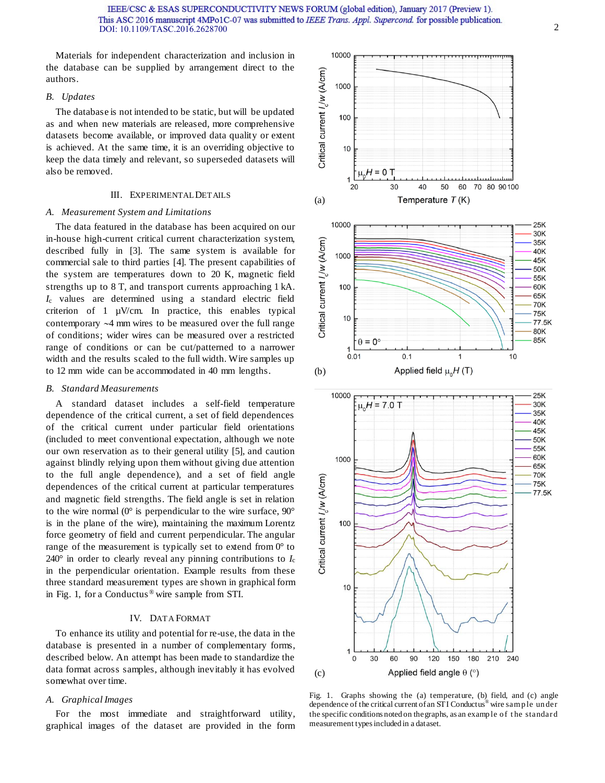IEEE/CSC & ESAS SUPERCONDUCTIVITY NEWS FORUM (global edition), January 2017 (Preview 1). This ASC 2016 manuscript 4MPo1C-07 was submitted to IEEE Trans. Appl. Supercond. for possible publication. [DOI: 10.1109/TASC.2016.2628700](http://ieeexplore.ieee.org/document/7744508/)

Materials for independent characterization and inclusion in the database can be supplied by arrangement direct to the authors.

# *B. Updates*

The database is not intended to be static, but will be updated as and when new materials are released, more comprehensive datasets become available, or improved data quality or extent is achieved. At the same time, it is an overriding objective to keep the data timely and relevant, so superseded datasets will also be removed.

## III. EXPERIMENTAL DETAILS

## *A. Measurement System and Limitations*

The data featured in the database has been acquired on our in-house high-current critical current characterization system, described fully in [3]. The same system is available for commercial sale to third parties [4]. The present capabilities of the system are temperatures down to 20 K, magnetic field strengths up to 8 T, and transport currents approaching 1 kA. *I*<sup>c</sup> values are determined using a standard electric field criterion of 1 µV/cm. In practice, this enables typical contemporary  $\sim$ 4 mm wires to be measured over the full range of conditions; wider wires can be measured over a restricted range of conditions or can be cut/patterned to a narrower width and the results scaled to the full width. Wire samples up to 12 mm wide can be accommodated in 40 mm lengths.

#### *B. Standard Measurements*

A standard dataset includes a self-field temperature dependence of the critical current, a set of field dependences of the critical current under particular field orientations (included to meet conventional expectation, although we note our own reservation as to their general utility [5], and caution against blindly relying upon them without giving due attention to the full angle dependence), and a set of field angle dependences of the critical current at particular temperatures and magnetic field strengths. The field angle is set in relation to the wire normal ( $0^{\circ}$  is perpendicular to the wire surface,  $90^{\circ}$ is in the plane of the wire), maintaining the maximum Lorentz force geometry of field and current perpendicular. The angular range of the measurement is typically set to extend from  $0^{\circ}$  to 240° in order to clearly reveal any pinning contributions to *I*<sup>c</sup> in the perpendicular orientation. Example results from these three standard measurement types are shown in graphical form in Fig. 1, for a Conductus<sup>®</sup> wire sample from STI.

# IV. DATA FORMAT

To enhance its utility and potential for re-use, the data in the database is presented in a number of complementary forms, described below. An attempt has been made to standardize the data format across samples, although inevitably it has evolved somewhat over time.

## *A. Graphical Images*

For the most immediate and straightforward utility, graphical images of the dataset are provided in the form



Fig. 1. Graphs showing the (a) temperature, (b) field, and (c) angle dependence of the critical current of an STI Conductus® wire sam p le un der the specific conditions noted on the graphs, as an example of the standard measurement types included in a dataset.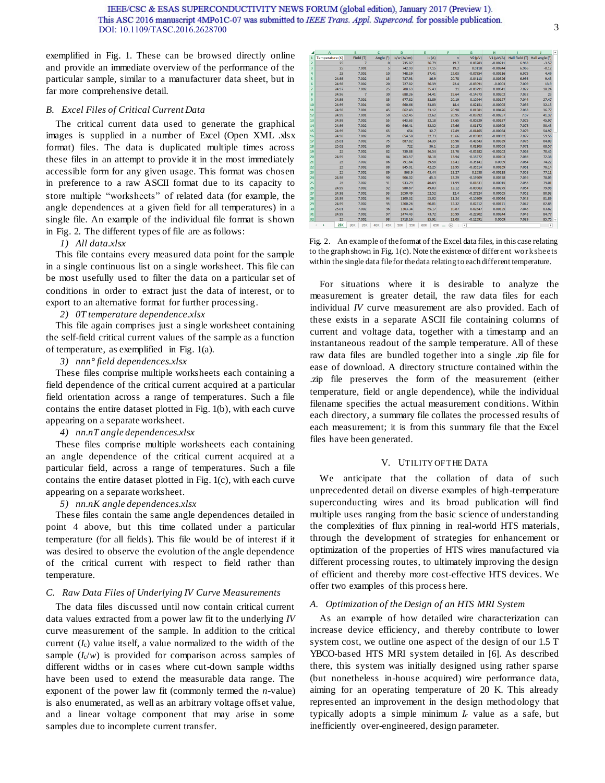exemplified in Fig. 1. These can be browsed directly online and provide an immediate overview of the performance of the particular sample, similar to a manufacturer data sheet, but in far more comprehensive detail.

## *B. Excel Files of Critical Current Data*

The critical current data used to generate the graphical images is supplied in a number of Excel (Open XML .xlsx format) files. The data is duplicated multiple times across these files in an attempt to provide it in the most immediately accessible form for any given usage. This format was chosen in preference to a raw ASCII format due to its capacity to store multiple "worksheets" of related data (for example, the angle dependences at a given field for all temperatures) in a single file. An example of the individual file format is shown in Fig. 2. The different types of file are as follows:

## *1) All data.xlsx*

This file contains every measured data point for the sample in a single continuous list on a single worksheet. This file can be most usefully used to filter the data on a particular set of conditions in order to extract just the data of interest, or to export to an alternative format for further processing.

#### *2) 0T temperature dependence.xlsx*

This file again comprises just a single worksheet containing the self-field critical current values of the sample as a function of temperature, as exemplified in Fig. 1(a).

## *3) nnn° field dependences.xlsx*

These files comprise multiple worksheets each containing a field dependence of the critical current acquired at a particular field orientation across a range of temperatures. Such a file contains the entire dataset plotted in Fig. 1(b), with each curve appearing on a separate worksheet.

#### *4) nn.nT angle dependences.xlsx*

These files comprise multiple worksheets each containing an angle dependence of the critical current acquired at a particular field, across a range of temperatures. Such a file contains the entire dataset plotted in Fig. 1(c), with each curve appearing on a separate worksheet.

# *5) nn.nK angle dependences.xlsx*

These files contain the same angle dependences detailed in point 4 above, but this time collated under a particular temperature (for all fields). This file would be of interest if it was desired to observe the evolution of the angle dependence of the critical current with respect to field rather than temperature.

## *C. Raw Data Files of Underlying IV Curve Measurements*

The data files discussed until now contain critical current data values extracted from a power law fit to the underlying *IV* curve measurement of the sample. In addition to the critical current  $(I_c)$  value itself, a value normalized to the width of the sample  $(I_c/w)$  is provided for comparison across samples of different widths or in cases where cut-down sample widths have been used to extend the measurable data range. The exponent of the power law fit (commonly termed the *n*-value) is also enumerated, as well as an arbitrary voltage offset value, and a linear voltage component that may arise in some samples due to incomplete current transfer.

|                | A               | B              | C              | D           | E     | F     | G          | н             |                |                |  |
|----------------|-----------------|----------------|----------------|-------------|-------|-------|------------|---------------|----------------|----------------|--|
| $\mathbf{1}$   | Temperature (K) | Field (T)      | Angle (°)      | Ic/w (A/cm) | lc(A) | n     | VO (µV)    | $VI(\mu V/A)$ | Hall field (T) | Hall angle (°) |  |
| $\overline{2}$ | 25              | $\overline{7}$ | $\mathbf{0}$   | 735.87      | 36.79 | 19.7  | 0.08783    | $-0.00211$    | 6.963          | $-3.57$        |  |
| 3              | 25              | 7.001          | $\overline{5}$ | 742.93      | 37.15 | 19.2  | 0.0118     | $-0.00244$    | 6.966          | $-0.12$        |  |
| 4              | 25              | 7.001          | 10             | 748.19      | 37.41 | 22.03 | $-0.07854$ | $-0.00116$    | 6.975          | 4.49           |  |
| 5              | 24.98           | 7.002          | 15             | 737.93      | 36.9  | 20.78 | $-0.04113$ | $-0.00326$    | 6.993          | 9.43           |  |
| 6              | 24.98           | 7.002          | 20             | 727.82      | 36.39 | 22.4  | $-0.03091$ | $-0.0003$     | 7.009          | 13.9           |  |
| $\overline{7}$ | 24.97           | 7.002          | 25             | 708.63      | 35.43 | 21    | $-0.00791$ | 0.00541       | 7.022          | 18.24          |  |
| 8              | 24.96           | $\overline{7}$ | 30             | 688.26      | 34.41 | 19.64 | $-0.14673$ | 0.00202       | 7.032          | 23             |  |
| 9              | 24.98           | 7.001          | 35             | 677.82      | 33.89 | 20.19 | 0.10244    | $-0.00127$    | 7.044          | 27.47          |  |
| 10             | 24.99           | 7.001          | 40             | 660.66      | 33.03 | 18.4  | 0.02151    | $-0.00005$    | 7.056          | 32.15          |  |
| 11             | 24.98           | 7.001          | 45             | 662.43      | 33.12 | 20.98 | 0.01581    | 0.00476       | 7.063          | 36.77          |  |
| 12             | 24.99           | 7.001          | 50             | 652.45      | 32.62 | 20.95 | $-0.03892$ | $-0.00257$    | 7.07           | 41.37          |  |
| 13             | 24.99           | 7.002          | 55             | 643.63      | 32.18 | 17.65 | $-0.00529$ | $-0.00187$    | 7.075          | 45.97          |  |
| 14             | 24.99           | 7.002          | 60             | 646.41      | 32.32 | 17.66 | 0.01172    | 0.00505       | 7.078          | 50.43          |  |
| 15             | 24.99           | 7.002          | 65             | 654         | 32.7  | 17.89 | $-0.01465$ | $-0.00064$    | 7.079          | 54.97          |  |
| 16             | 24.98           | 7.002          | 70             | 654.58      | 32.73 | 15.66 | $-0.05902$ | $-0.00032$    | 7.077          | 59.56          |  |
| 17             | 25.01           | 7.002          | 75             | 687.82      | 34.39 | 16.96 | $-0.43543$ | 0.00389       | 7.075          | 64.09          |  |
| 18             | 25.02           | 7.002          | 80             | 722         | 36.1  | 16.18 | 0.01103    | 0.00563       | 7.071          | 68.57          |  |
| 19             | 25              | 7.002          | 82             | 730.88      | 36.54 | 13.76 | $-0.05282$ | $-0.00202$    | 7.068          | 70.45          |  |
| 20             | 24.99           | 7.002          | 84             | 763.57      | 38.18 | 13.94 | $-0.18272$ | 0.00103       | 7.066          | 72.36          |  |
| 21             | 25              | 7.002          | 86             | 791.64      | 39.58 | 13.41 | $-0.35141$ | 0.0009        | 7.064          | 74.22          |  |
| 22             | 25              | 7.002          | 88             | 845.01      | 42.25 | 13.95 | $-0.35514$ | 0.00169       | 7.061          | 76.14          |  |
| 23             | 25              | 7.002          | 89             | 868.9       | 43.44 | 13.27 | 0.1538     | $-0.00118$    | 7.058          | 77.11          |  |
| 24             | 24.98           | 7.002          | 90             | 906.02      | 45.3  | 13.29 | $-0.19909$ | 0.00378       | 7.056          | 78.05          |  |
| 25             | 25              | 7.002          | 91             | 933.79      | 46.69 | 11.99 | $-0.01831$ | 0.00015       | 7.055          | 79.01          |  |
| 26             | 24.99           | 7.002          | 92             | 980.67      | 49.03 | 12.12 | $-0.00063$ | $-0.00275$    | 7.054          | 79.98          |  |
| 27             | 24.98           | 7.002          | 93             | 1050.49     | 52.52 | 12.4  | $-0.27224$ | 0.00665       | 7.052          | 80.93          |  |
| 28             | 24.99           | 7.002          | 94             | 1100.32     | 55.02 | 11.24 | $-0.10809$ | $-0.00044$    | 7.048          | 81.89          |  |
| 29             | 24.99           | 7.002          | 95             | 1200.26     | 60.01 | 12.32 | 0.02212    | $-0.00171$    | 7.047          | 82.85          |  |
| 30             | 25.01           | 7.002          | 96             | 1303.34     | 65.17 | 10.87 | 0.02547    | 0.00125       | 7.045          | 83.82          |  |
| 31             | 24.99           | 7.002          | 97             | 1474.43     | 73.72 | 10.99 | $-0.22902$ | 0.00244       | 7.043          | 84.77          |  |
| 32             | 25              | 7.002          | 98             | 1718.16     | 85.91 | 12.03 | $-0.12591$ | 0.0009        | 7.039          | $85.75$ -      |  |

Fig. 2. An example of the format of the Excel data files, in this case relating to the graph shown in Fig. 1(c). Note the existence of different wo rk sheets within the single data file for the data relating to each different temperature.

For situations where it is desirable to analyze the measurement is greater detail, the raw data files for each individual *IV* curve measurement are also provided. Each of these exists in a separate ASCII file containing columns of current and voltage data, together with a timestamp and an instantaneous readout of the sample temperature. All of these raw data files are bundled together into a single .zip file for ease of download. A directory structure contained within the .zip file preserves the form of the measurement (either temperature, field or angle dependence), while the individual filename specifies the actual measurement conditions. Within each directory, a summary file collates the processed results of each measurement; it is from this summary file that the Excel files have been generated.

## V. UTILITY OF THE DATA

We anticipate that the collation of data of such unprecedented detail on diverse examples of high-temperature superconducting wires and its broad publication will find multiple uses ranging from the basic science of understanding the complexities of flux pinning in real-world HTS materials, through the development of strategies for enhancement or optimization of the properties of HTS wires manufactured via different processing routes, to ultimately improving the design of efficient and thereby more cost-effective HTS devices. We offer two examples of this process here.

# *A. Optimization of the Design of an HTS MRI System*

As an example of how detailed wire characterization can increase device efficiency, and thereby contribute to lower system cost, we outline one aspect of the design of our 1.5 T YBCO-based HTS MRI system detailed in [6]. As described there, this system was initially designed using rather sparse (but nonetheless in-house acquired) wire performance data, aiming for an operating temperature of 20 K. This already represented an improvement in the design methodology that typically adopts a simple minimum  $I_c$  value as a safe, but inefficiently over-engineered, design parameter.